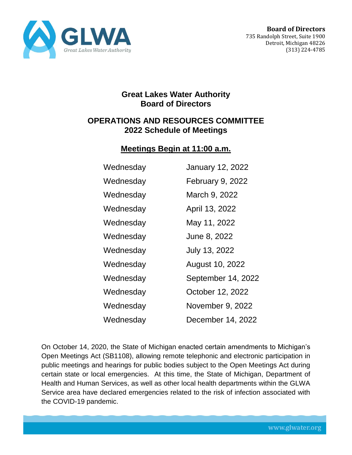

## **Great Lakes Water Authority Board of Directors**

## **OPERATIONS AND RESOURCES COMMITTEE 2022 Schedule of Meetings**

## **Meetings Begin at 11:00 a.m.**

| Wednesday | <b>January 12, 2022</b> |
|-----------|-------------------------|
| Wednesday | February 9, 2022        |
| Wednesday | March 9, 2022           |
| Wednesday | April 13, 2022          |
| Wednesday | May 11, 2022            |
| Wednesday | June 8, 2022            |
| Wednesday | July 13, 2022           |
| Wednesday | August 10, 2022         |
| Wednesday | September 14, 2022      |
| Wednesday | October 12, 2022        |
| Wednesday | November 9, 2022        |
| Wednesday | December 14, 2022       |

On October 14, 2020, the State of Michigan enacted certain amendments to Michigan's Open Meetings Act (SB1108), allowing remote telephonic and electronic participation in public meetings and hearings for public bodies subject to the Open Meetings Act during certain state or local emergencies. At this time, the State of Michigan, Department of Health and Human Services, as well as other local health departments within the GLWA Service area have declared emergencies related to the risk of infection associated with the COVID-19 pandemic.